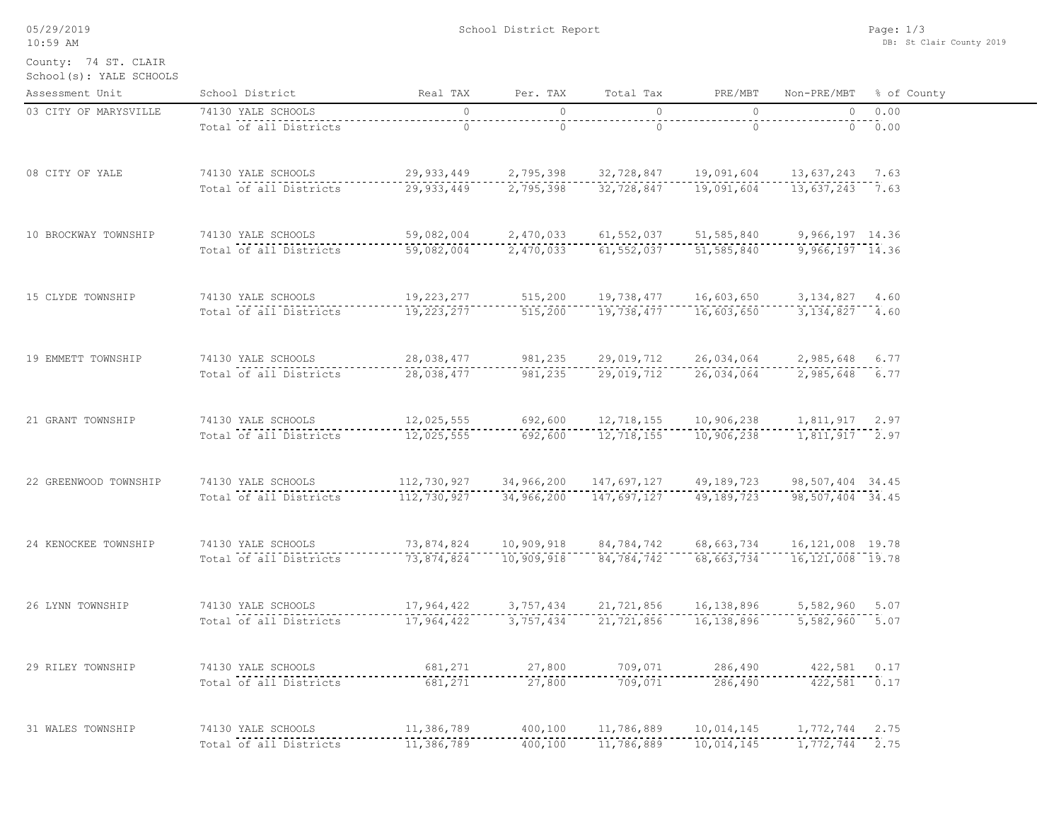| 05/29/2019<br>$10:59$ AM                        |                        |                                                                 | School District Report |                                                                     |                           |                         | Page: $1/3$ | DB: St Clair County 2019 |
|-------------------------------------------------|------------------------|-----------------------------------------------------------------|------------------------|---------------------------------------------------------------------|---------------------------|-------------------------|-------------|--------------------------|
| County: 74 ST. CLAIR<br>School(s): YALE SCHOOLS |                        |                                                                 |                        |                                                                     |                           |                         |             |                          |
| Assessment Unit                                 | School District        | Real TAX                                                        | Per. TAX               | Total Tax                                                           | PRE/MBT                   | Non-PRE/MBT % of County |             |                          |
| 03 CITY OF MARYSVILLE                           | 74130 YALE SCHOOLS     | $\circ$                                                         | $\circ$                | $\circ$                                                             | $\circ$                   |                         | $0 \t 0.00$ |                          |
|                                                 | Total of all Districts | $1 - 70 - 70$                                                   | $\overline{0}$         | $\circ$                                                             | $\circ$                   |                         | 0.00        |                          |
| 08 CITY OF YALE                                 | 74130 YALE SCHOOLS     |                                                                 |                        | 29,933,449 2,795,398 32,728,847 19,091,604 13,637,243 7.63          |                           |                         |             |                          |
|                                                 | Total of all Districts | 29,933,449                                                      |                        |                                                                     |                           |                         |             |                          |
| 10 BROCKWAY TOWNSHIP                            | 74130 YALE SCHOOLS     | 59,082,004  2,470,033  61,552,037  51,585,840  9,966,197  14.36 |                        |                                                                     |                           | $9,966,197$ 14.36       |             |                          |
|                                                 | Total of all Districts | 59,082,004                                                      |                        | 2,470,033 61,552,037 51,585,840                                     |                           |                         |             |                          |
| 15 CLYDE TOWNSHIP                               | 74130 YALE SCHOOLS     |                                                                 |                        | $19,223,277$ $515,200$ $19,738,477$ $16,603,650$ $3,134,827$ $4.60$ |                           |                         |             |                          |
|                                                 | Total of all Districts | 19,223,277                                                      | 515,200                | 19,738,477                                                          | 16,603,650                | $3,134,827$ 4.60        |             |                          |
| 19 EMMETT TOWNSHIP                              | 74130 YALE SCHOOLS     | 28,038,477                                                      |                        | 981,235 29,019,712 26,034,064                                       |                           | 2,985,648 6.77          |             |                          |
|                                                 | Total of all Districts | 28,038,477                                                      | 981,235                | 29,019,712                                                          | 26,034,064                | 2,985,648 6.77          |             |                          |
| 21 GRANT TOWNSHIP                               | 74130 YALE SCHOOLS     |                                                                 |                        | $12,025,555$ 692,600 12,718,155 10,906,238 1,811,917 2.97           |                           |                         |             |                          |
|                                                 | Total of all Districts | 12,025,555                                                      | 692,600                | 12,718,155                                                          | 10,906,238                | 1,811,917 2.97          |             |                          |
| 22 GREENWOOD TOWNSHIP                           | 74130 YALE SCHOOLS     | 112,730,927 34,966,200 147,697,127 49,189,723 98,507,404 34.45  |                        |                                                                     |                           |                         |             |                          |
|                                                 | Total of all Districts | ----------------<br>112,730,927                                 |                        | 34,966,200 147,697,127                                              | 49, 189, 723              | 98, 507, 404 34.45      |             |                          |
| 24 KENOCKEE TOWNSHIP                            | 74130 YALE SCHOOLS     | 73,874,824                                                      |                        | 10,909,918  84,784,742  68,663,734  16,121,008  19.78               |                           |                         |             |                          |
|                                                 | Total of all Districts | 73,874,824                                                      | 10,909,918             | 84,784,742                                                          |                           |                         |             |                          |
| 26 LYNN TOWNSHIP                                | 74130 YALE SCHOOLS     | 17,964,422 3,757,434                                            |                        | 21,721,856 16,138,896 5,582,960 5.07                                |                           |                         |             |                          |
|                                                 | Total of all Districts | 17,964,422                                                      | 3,757,434              |                                                                     | 21, 721, 856 16, 138, 896 | 5,582,960 5.07          |             |                          |
| 29 RILEY TOWNSHIP                               | 74130 YALE SCHOOLS     | 681,271                                                         | 27,800                 | 709,071                                                             | 286,490                   | 422,581 0.17            |             |                          |
|                                                 | Total of all Districts | 681,271                                                         | 27,800                 | 709,071                                                             | 286,490                   | $422,581$ 0.17          |             |                          |
| 31 WALES TOWNSHIP                               | 74130 YALE SCHOOLS     | 11,386,789                                                      | 400,100                | 11,786,889                                                          | 10,014,145                | 1,772,744 2.75          |             |                          |
|                                                 | Total of all Districts | 11,386,789                                                      | 400,100                | 11,786,889                                                          | 10,014,145                | 1,772,744 2.75          |             |                          |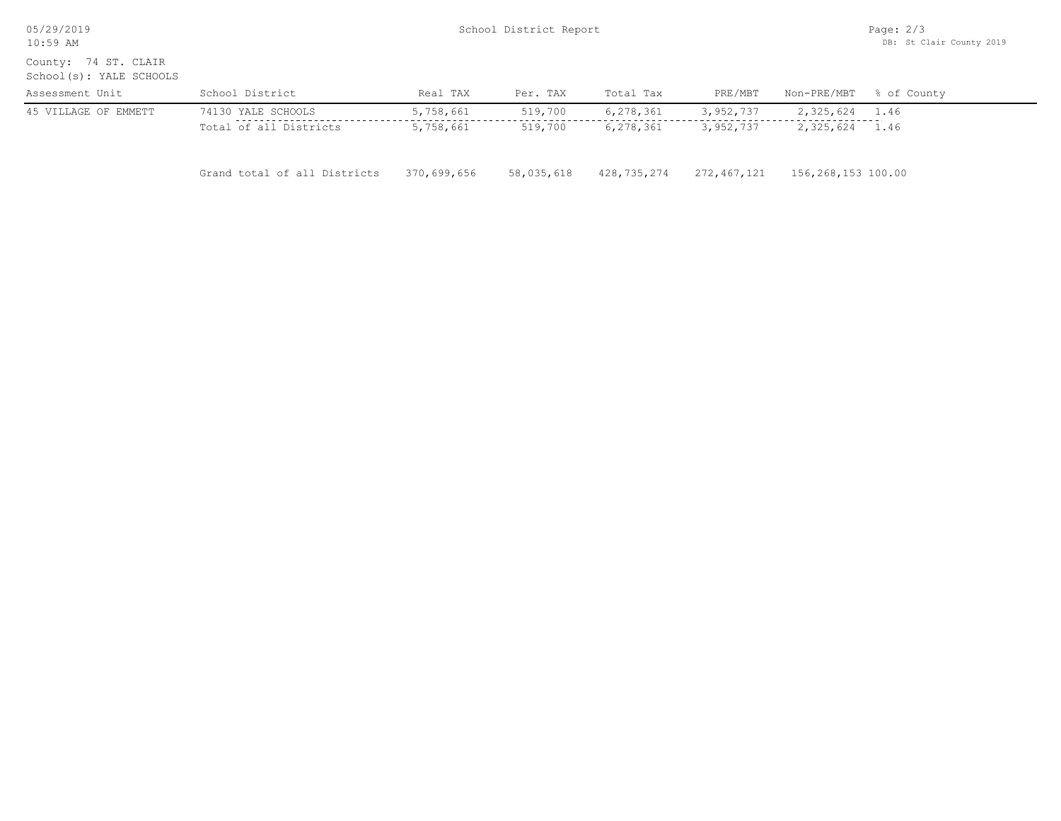| 05/29/2019<br>$10:59$ AM                        |                              |             | School District Report |             |             |                    | Page: $2/3$<br>DB: St Clair County 2019 |
|-------------------------------------------------|------------------------------|-------------|------------------------|-------------|-------------|--------------------|-----------------------------------------|
| County: 74 ST. CLAIR<br>School(s): YALE SCHOOLS |                              |             |                        |             |             |                    |                                         |
| Assessment Unit                                 | School District              | Real TAX    | Per. TAX               | Total Tax   | PRE/MBT     | Non-PRE/MBT        | % of County                             |
| 45 VILLAGE OF EMMETT                            | 74130 YALE SCHOOLS           | 5,758,661   | 519,700                | 6,278,361   | 3,952,737   | 2,325,624          | 1.46                                    |
|                                                 | Total of all Districts       | 5,758,661   | 519,700                | 6,278,361   | 3,952,737   | 2,325,624          | 1.46                                    |
|                                                 | Grand total of all Districts | 370,699,656 | 58,035,618             | 428,735,274 | 272,467,121 | 156,268,153 100.00 |                                         |